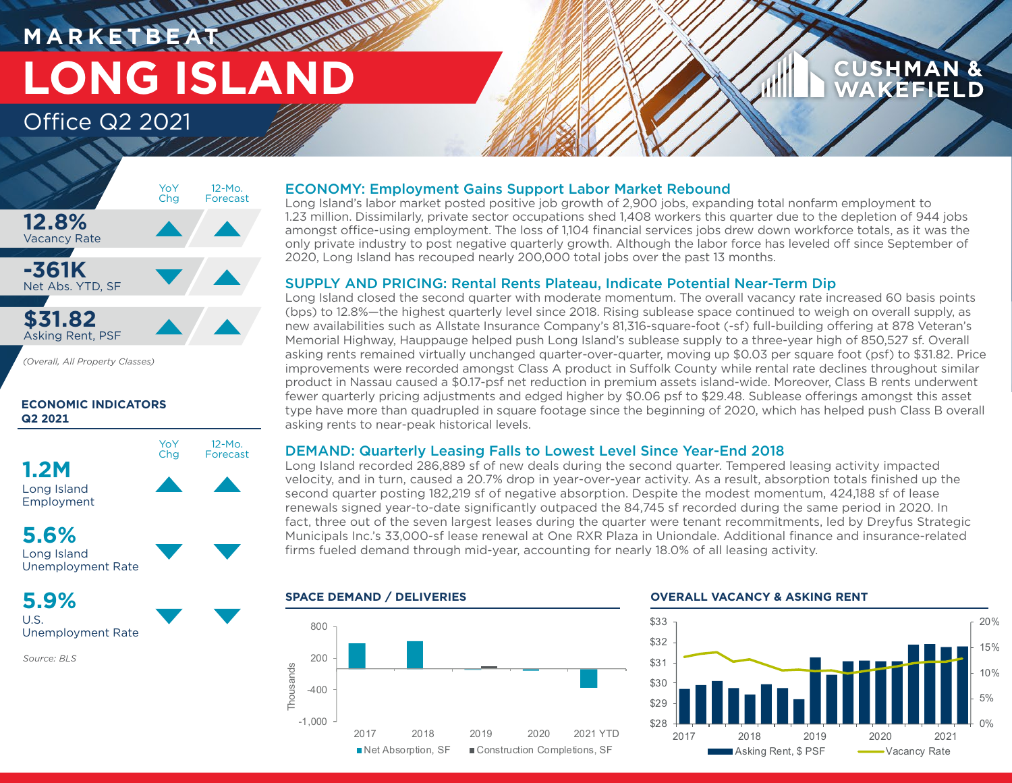# **M A R K E T B E AT LONG ISLAND** Office Q2 2021

## **CUSHMAN & AKEFIELD**



*(Overall, All Property Classes)*

#### **ECONOMIC INDICATORS Q2 2021**



# **5.6%**

Long Island Unemployment Rate

## **5.9%**

U.S. Unemployment Rate

*Source: BLS*

### ECONOMY: Employment Gains Support Labor Market Rebound

Long Island's labor market posted positive job growth of 2,900 jobs, expanding total nonfarm employment to 1.23 million. Dissimilarly, private sector occupations shed 1,408 workers this quarter due to the depletion of 944 jobs amongst office-using employment. The loss of 1,104 financial services jobs drew down workforce totals, as it was the only private industry to post negative quarterly growth. Although the labor force has leveled off since September of 2020, Long Island has recouped nearly 200,000 total jobs over the past 13 months.

#### SUPPLY AND PRICING: Rental Rents Plateau, Indicate Potential Near-Term Dip

Long Island closed the second quarter with moderate momentum. The overall vacancy rate increased 60 basis points (bps) to 12.8%—the highest quarterly level since 2018. Rising sublease space continued to weigh on overall supply, as new availabilities such as Allstate Insurance Company's 81,316-square-foot (-sf) full-building offering at 878 Veteran's Memorial Highway, Hauppauge helped push Long Island's sublease supply to a three-year high of 850,527 sf. Overall asking rents remained virtually unchanged quarter-over-quarter, moving up \$0.03 per square foot (psf) to \$31.82. Price improvements were recorded amongst Class A product in Suffolk County while rental rate declines throughout similar product in Nassau caused a \$0.17-psf net reduction in premium assets island-wide. Moreover, Class B rents underwent fewer quarterly pricing adjustments and edged higher by \$0.06 psf to \$29.48. Sublease offerings amongst this asset type have more than quadrupled in square footage since the beginning of 2020, which has helped push Class B overall asking rents to near-peak historical levels.

### DEMAND: Quarterly Leasing Falls to Lowest Level Since Year-End 2018

Long Island recorded 286,889 sf of new deals during the second quarter. Tempered leasing activity impacted velocity, and in turn, caused a 20.7% drop in year-over-year activity. As a result, absorption totals finished up the second quarter posting 182,219 sf of negative absorption. Despite the modest momentum, 424,188 sf of lease renewals signed year-to-date significantly outpaced the 84,745 sf recorded during the same period in 2020. In fact, three out of the seven largest leases during the quarter were tenant recommitments, led by Dreyfus Strategic Municipals Inc.'s 33,000-sf lease renewal at One RXR Plaza in Uniondale. Additional finance and insurance-related firms fueled demand through mid-year, accounting for nearly 18.0% of all leasing activity.



#### **SPACE DEMAND / DELIVERIES OVERALL VACANCY & ASKING RENT**